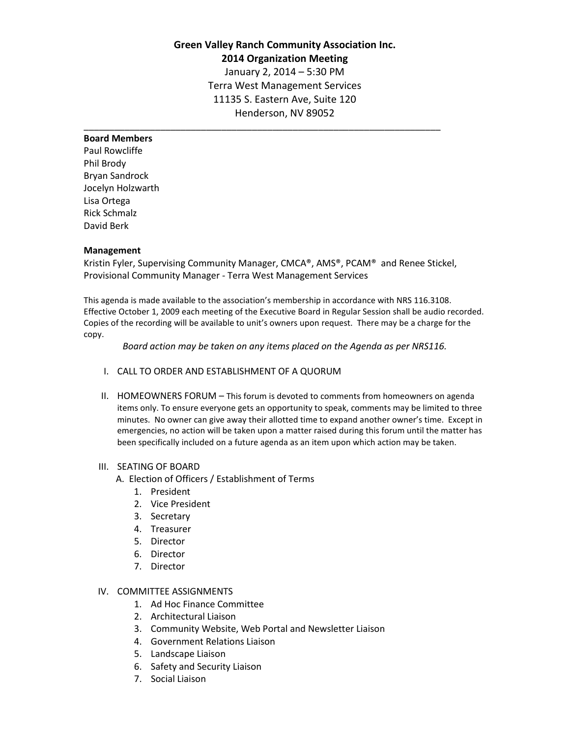# **Green Valley Ranch Community Association Inc. 2014 Organization Meeting** January 2, 2014 – 5:30 PM Terra West Management Services 11135 S. Eastern Ave, Suite 120

Henderson, NV 89052

\_\_\_\_\_\_\_\_\_\_\_\_\_\_\_\_\_\_\_\_\_\_\_\_\_\_\_\_\_\_\_\_\_\_\_\_\_\_\_\_\_\_\_\_\_\_\_\_\_\_\_\_\_\_\_\_\_\_\_\_\_\_\_\_\_\_\_\_\_\_

## **Board Members**

Paul Rowcliffe Phil Brody Bryan Sandrock Jocelyn Holzwarth Lisa Ortega Rick Schmalz David Berk

### **Management**

Kristin Fyler, Supervising Community Manager, CMCA®, AMS®, PCAM® and Renee Stickel, Provisional Community Manager - Terra West Management Services

This agenda is made available to the association's membership in accordance with NRS 116.3108. Effective October 1, 2009 each meeting of the Executive Board in Regular Session shall be audio recorded. Copies of the recording will be available to unit's owners upon request. There may be a charge for the copy.

*Board action may be taken on any items placed on the Agenda as per NRS116.*

- I. CALL TO ORDER AND ESTABLISHMENT OF A QUORUM
- II. HOMEOWNERS FORUM This forum is devoted to comments from homeowners on agenda items only. To ensure everyone gets an opportunity to speak, comments may be limited to three minutes. No owner can give away their allotted time to expand another owner's time. Except in emergencies, no action will be taken upon a matter raised during this forum until the matter has been specifically included on a future agenda as an item upon which action may be taken.

### III. SEATING OF BOARD

- A. Election of Officers / Establishment of Terms
	- 1. President
	- 2. Vice President
	- 3. Secretary
	- 4. Treasurer
	- 5. Director
	- 6. Director
	- 7. Director

#### IV. COMMITTEE ASSIGNMENTS

- 1. Ad Hoc Finance Committee
- 2. Architectural Liaison
- 3. Community Website, Web Portal and Newsletter Liaison
- 4. Government Relations Liaison
- 5. Landscape Liaison
- 6. Safety and Security Liaison
- 7. Social Liaison